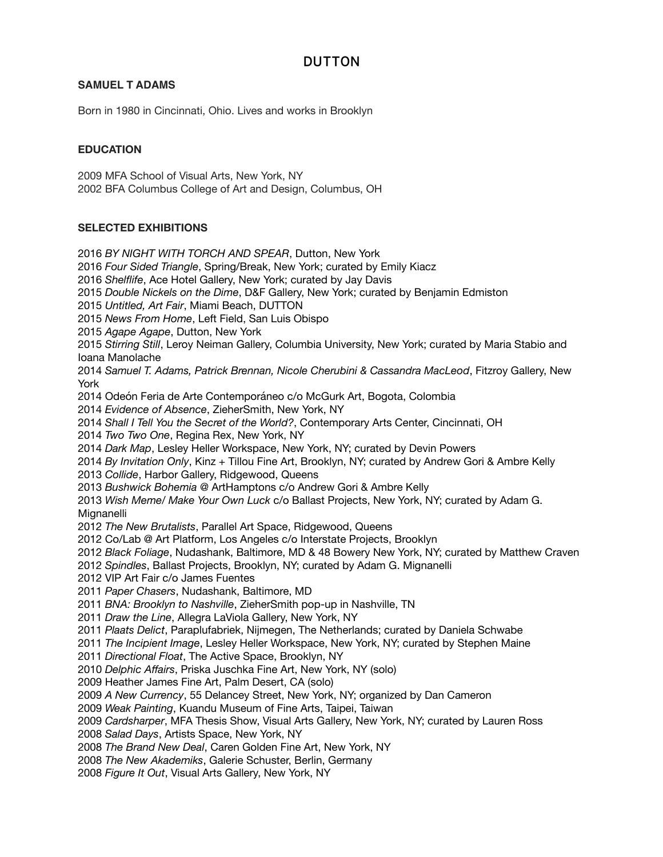# **DUTTON**

## **SAMUEL T ADAMS**

Born in 1980 in Cincinnati, Ohio. Lives and works in Brooklyn

## **EDUCATION**

2009 MFA School of Visual Arts, New York, NY 2002 BFA Columbus College of Art and Design, Columbus, OH

## **SELECTED EXHIBITIONS**

*BY NIGHT WITH TORCH AND SPEAR*, Dutton, New York *Four Sided Triangle*, Spring/Break, New York; curated by Emily Kiacz *Shelflife*, Ace Hotel Gallery, New York; curated by Jay Davis *Double Nickels on the Dime*, D&F Gallery, New York; curated by Benjamin Edmiston *Untitled, Art Fair*, Miami Beach, DUTTON *News From Home*, Left Field, San Luis Obispo *Agape Agape*, Dutton, New York *Stirring Still*, Leroy Neiman Gallery, Columbia University, New York; curated by Maria Stabio and Ioana Manolache *Samuel T. Adams, Patrick Brennan, Nicole Cherubini & Cassandra MacLeod*, Fitzroy Gallery, New York 2014 Odeón Feria de Arte Contemporáneo c/o McGurk Art, Bogota, Colombia *Evidence of Absence*, ZieherSmith, New York, NY *Shall I Tell You the Secret of the World?*, Contemporary Arts Center, Cincinnati, OH *Two Two One*, Regina Rex, New York, NY *Dark Map*, Lesley Heller Workspace, New York, NY; curated by Devin Powers *By Invitation Only*, Kinz + Tillou Fine Art, Brooklyn, NY; curated by Andrew Gori & Ambre Kelly *Collide*, Harbor Gallery, Ridgewood, Queens *Bushwick Bohemia* @ ArtHamptons c/o Andrew Gori & Ambre Kelly *Wish Meme/ Make Your Own Luck* c/o Ballast Projects, New York, NY; curated by Adam G. Mignanelli *The New Brutalists*, Parallel Art Space, Ridgewood, Queens 2012 Co/Lab @ Art Platform, Los Angeles c/o Interstate Projects, Brooklyn *Black Foliage*, Nudashank, Baltimore, MD & 48 Bowery New York, NY; curated by Matthew Craven *Spindles*, Ballast Projects, Brooklyn, NY; curated by Adam G. Mignanelli 2012 VIP Art Fair c/o James Fuentes *Paper Chasers*, Nudashank, Baltimore, MD *BNA: Brooklyn to Nashville*, ZieherSmith pop-up in Nashville, TN *Draw the Line*, Allegra LaViola Gallery, New York, NY *Plaats Delict*, Paraplufabriek, Nijmegen, The Netherlands; curated by Daniela Schwabe *The Incipient Image*, Lesley Heller Workspace, New York, NY; curated by Stephen Maine *Directional Float*, The Active Space, Brooklyn, NY *Delphic Affairs*, Priska Juschka Fine Art, New York, NY (solo) 2009 Heather James Fine Art, Palm Desert, CA (solo) *A New Currency*, 55 Delancey Street, New York, NY; organized by Dan Cameron *Weak Painting*, Kuandu Museum of Fine Arts, Taipei, Taiwan *Cardsharper*, MFA Thesis Show, Visual Arts Gallery, New York, NY; curated by Lauren Ross *Salad Days*, Artists Space, New York, NY *The Brand New Deal*, Caren Golden Fine Art, New York, NY *The New Akademiks*, Galerie Schuster, Berlin, Germany *Figure It Out*, Visual Arts Gallery, New York, NY